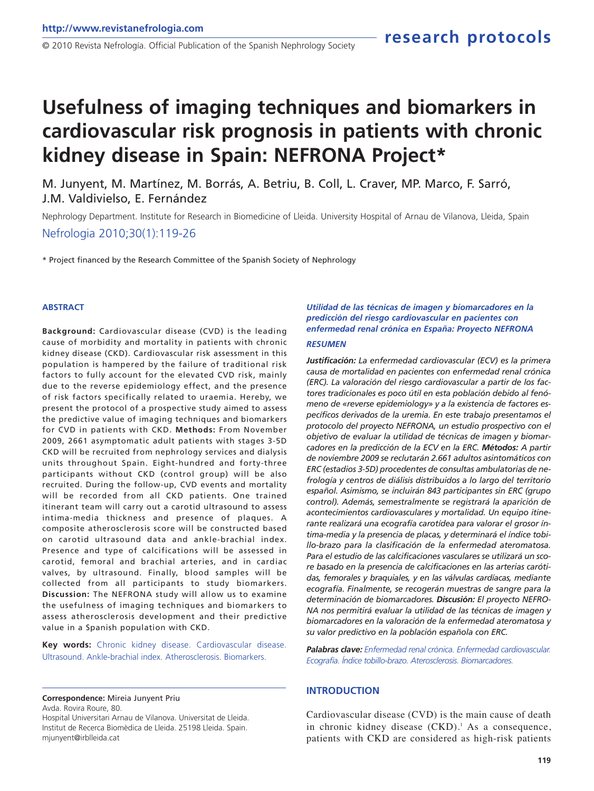# **Usefulness of imaging techniques and biomarkers in cardiovascular risk prognosis in patients with chronic kidney disease in Spain: NEFRONA Project\***

M. Junyent, M. Martínez, M. Borrás, A. Betriu, B. Coll, L. Craver, MP. Marco, F. Sarró, J.M. Valdivielso, E. Fernández

Nephrology Department. Institute for Research in Biomedicine of Lleida. University Hospital of Arnau de Vilanova, Lleida, Spain

Nefrologia 2010;30(1):119-26

\* Project financed by the Research Committee of the Spanish Society of Nephrology

#### **ABSTRACT**

**Background:** Cardiovascular disease (CVD) is the leading cause of morbidity and mortality in patients with chronic kidney disease (CKD). Cardiovascular risk assessment in this population is hampered by the failure of traditional risk factors to fully account for the elevated CVD risk, mainly due to the reverse epidemiology effect, and the presence of risk factors specifically related to uraemia. Hereby, we present the protocol of a prospective study aimed to assess the predictive value of imaging techniques and biomarkers for CVD in patients with CKD. **Methods:** From November 2009, 2661 asymptomatic adult patients with stages 3-5D CKD will be recruited from nephrology services and dialysis units throughout Spain. Eight-hundred and forty-three participants without CKD (control group) will be also recruited. During the follow-up, CVD events and mortality will be recorded from all CKD patients. One trained itinerant team will carry out a carotid ultrasound to assess intima-media thickness and presence of plaques. A composite atherosclerosis score will be constructed based on carotid ultrasound data and ankle-brachial index. Presence and type of calcifications will be assessed in carotid, femoral and brachial arteries, and in cardiac valves, by ultrasound. Finally, blood samples will be collected from all participants to study biomarkers. **Discussion:** The NEFRONA study will allow us to examine the usefulness of imaging techniques and biomarkers to assess atherosclerosis development and their predictive value in a Spanish population with CKD.

**Key words:** Chronic kidney disease. Cardiovascular disease. Ultrasound. Ankle-brachial index. Atherosclerosis. Biomarkers.

#### **Correspondence:** Mireia Junyent Priu

Avda. Rovira Roure, 80. Hospital Universitari Arnau de Vilanova. Universitat de Lleida. Institut de Recerca Biomèdica de Lleida. 25198 Lleida. Spain. mjunyent@irblleida.cat

### *Utilidad de las técnicas de imagen y biomarcadores en la predicción del riesgo cardiovascular en pacientes con enfermedad renal crónica en España: Proyecto NEFRONA*

#### *RESUMEN*

*Justificación: La enfermedad cardiovascular (ECV) es la primera causa de mortalidad en pacientes con enfermedad renal crónica (ERC). La valoración del riesgo cardiovascular a partir de los factores tradicionales es poco útil en esta población debido al fenómeno de «reverse epidemiology» y a la existencia de factores específicos derivados de la uremia. En este trabajo presentamos el protocolo del proyecto NEFRONA, un estudio prospectivo con el objetivo de evaluar la utilidad de técnicas de imagen y biomarcadores en la predicción de la ECV en la ERC. Métodos: A partir de noviembre 2009 se reclutarán 2.661 adultos asintomáticos con ERC (estadios 3-5D) procedentes de consultas ambulatorias de nefrología y centros de diálisis distribuidos a lo largo del territorio español. Asimismo, se incluirán 843 participantes sin ERC (grupo control). Además, semestralmente se registrará la aparición de acontecimientos cardiovasculares y mortalidad. Un equipo itinerante realizará una ecografía carotídea para valorar el grosor íntima-media y la presencia de placas, y determinará el índice tobillo-brazo para la clasificación de la enfermedad ateromatosa. Para el estudio de las calcificaciones vasculares se utilizará un score basado en la presencia de calcificaciones en las arterias carótidas, femorales y braquiales, y en las válvulas cardíacas, mediante ecografía. Finalmente, se recogerán muestras de sangre para la determinación de biomarcadores. Discusión: El proyecto NEFRO-NA nos permitirá evaluar la utilidad de las técnicas de imagen y biomarcadores en la valoración de la enfermedad ateromatosa y su valor predictivo en la población española con ERC.* 

*Palabras clave: Enfermedad renal crónica. Enfermedad cardiovascular. Ecografía. Índice tobillo-brazo. Aterosclerosis. Biomarcadores.*

#### **INTRODUCTION**

Cardiovascular disease (CVD) is the main cause of death in chronic kidney disease (CKD).<sup>1</sup> As a consequence, patients with CKD are considered as high-risk patients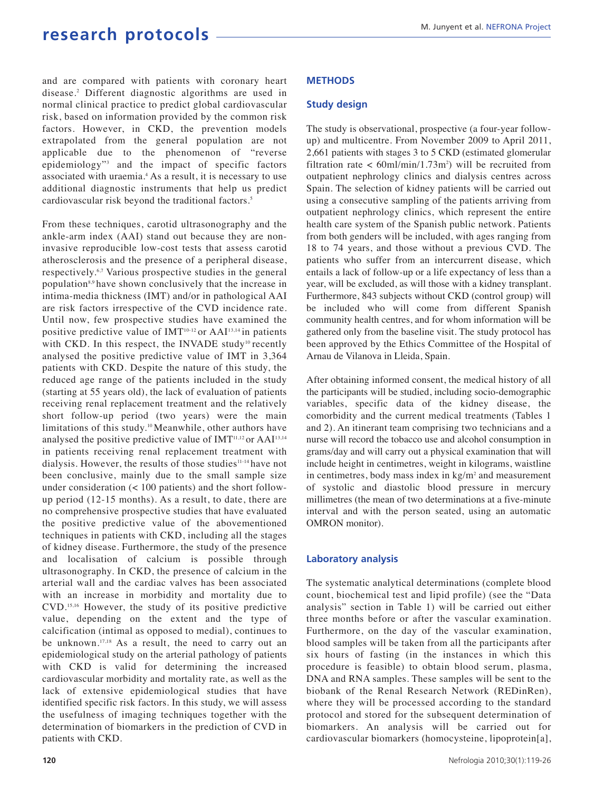and are compared with patients with coronary heart disease.<sup>2</sup> Different diagnostic algorithms are used in normal clinical practice to predict global cardiovascular risk, based on information provided by the common risk factors. However, in CKD, the prevention models extrapolated from the general population are not applicable due to the phenomenon of "reverse epidemiology"<sup>3</sup> and the impact of specific factors associated with uraemia.<sup>4</sup> As a result, it is necessary to use additional diagnostic instruments that help us predict cardiovascular risk beyond the traditional factors.<sup>5</sup>

From these techniques, carotid ultrasonography and the ankle-arm index (AAI) stand out because they are noninvasive reproducible low-cost tests that assess carotid atherosclerosis and the presence of a peripheral disease, respectively.6,7 Various prospective studies in the general population<sup>8,9</sup> have shown conclusively that the increase in intima-media thickness (IMT) and/or in pathological AAI are risk factors irrespective of the CVD incidence rate. Until now, few prospective studies have examined the positive predictive value of  $IMT<sup>10-12</sup>$  or AAI<sup>13,14</sup> in patients with CKD. In this respect, the INVADE study<sup>10</sup> recently analysed the positive predictive value of IMT in 3,364 patients with CKD. Despite the nature of this study, the reduced age range of the patients included in the study (starting at 55 years old), the lack of evaluation of patients receiving renal replacement treatment and the relatively short follow-up period (two years) were the main limitations of this study.10 Meanwhile, other authors have analysed the positive predictive value of IMT<sup>11,12</sup> or AAI<sup>13,14</sup> in patients receiving renal replacement treatment with dialysis. However, the results of those studies<sup>11-14</sup> have not been conclusive, mainly due to the small sample size under consideration (< 100 patients) and the short followup period (12-15 months). As a result, to date, there are no comprehensive prospective studies that have evaluated the positive predictive value of the abovementioned techniques in patients with CKD, including all the stages of kidney disease. Furthermore, the study of the presence and localisation of calcium is possible through ultrasonography. In CKD, the presence of calcium in the arterial wall and the cardiac valves has been associated with an increase in morbidity and mortality due to CVD.15,16 However, the study of its positive predictive value, depending on the extent and the type of calcification (intimal as opposed to medial), continues to be unknown.<sup>17,18</sup> As a result, the need to carry out an epidemiological study on the arterial pathology of patients with CKD is valid for determining the increased cardiovascular morbidity and mortality rate, as well as the lack of extensive epidemiological studies that have identified specific risk factors. In this study, we will assess the usefulness of imaging techniques together with the determination of biomarkers in the prediction of CVD in patients with CKD.

#### **METHODS**

#### **Study design**

The study is observational, prospective (a four-year followup) and multicentre. From November 2009 to April 2011, 2,661 patients with stages 3 to 5 CKD (estimated glomerular filtration rate  $\langle 60 \text{ml/min}/1.73 \text{m}^2 \rangle$  will be recruited from outpatient nephrology clinics and dialysis centres across Spain. The selection of kidney patients will be carried out using a consecutive sampling of the patients arriving from outpatient nephrology clinics, which represent the entire health care system of the Spanish public network. Patients from both genders will be included, with ages ranging from 18 to 74 years, and those without a previous CVD. The patients who suffer from an intercurrent disease, which entails a lack of follow-up or a life expectancy of less than a year, will be excluded, as will those with a kidney transplant. Furthermore, 843 subjects without CKD (control group) will be included who will come from different Spanish community health centres, and for whom information will be gathered only from the baseline visit. The study protocol has been approved by the Ethics Committee of the Hospital of Arnau de Vilanova in Lleida, Spain.

After obtaining informed consent, the medical history of all the participants will be studied, including socio-demographic variables, specific data of the kidney disease, the comorbidity and the current medical treatments (Tables 1 and 2). An itinerant team comprising two technicians and a nurse will record the tobacco use and alcohol consumption in grams/day and will carry out a physical examination that will include height in centimetres, weight in kilograms, waistline in centimetres, body mass index in  $kg/m<sup>2</sup>$  and measurement of systolic and diastolic blood pressure in mercury millimetres (the mean of two determinations at a five-minute interval and with the person seated, using an automatic OMRON monitor).

#### **Laboratory analysis**

The systematic analytical determinations (complete blood count, biochemical test and lipid profile) (see the "Data analysis" section in Table 1) will be carried out either three months before or after the vascular examination. Furthermore, on the day of the vascular examination, blood samples will be taken from all the participants after six hours of fasting (in the instances in which this procedure is feasible) to obtain blood serum, plasma, DNA and RNA samples. These samples will be sent to the biobank of the Renal Research Network (REDinRen), where they will be processed according to the standard protocol and stored for the subsequent determination of biomarkers. An analysis will be carried out for cardiovascular biomarkers (homocysteine, lipoprotein[a],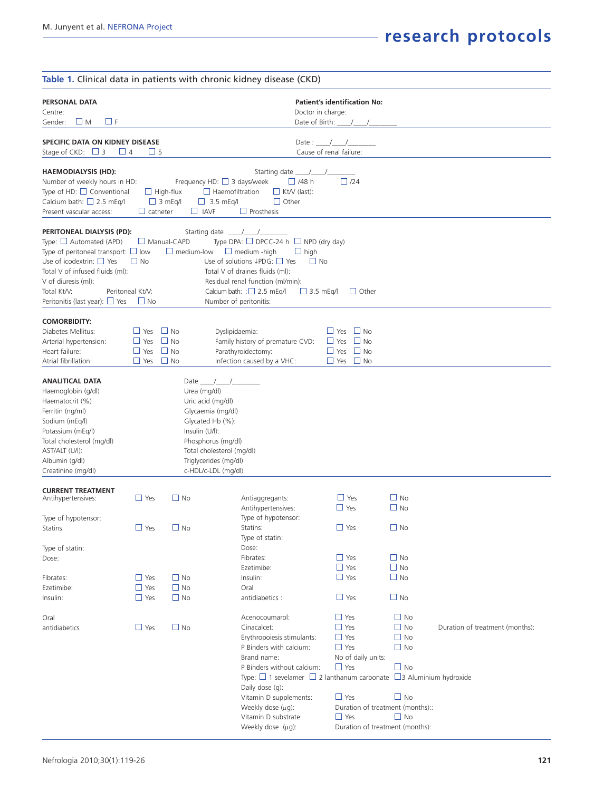|                                                                                                                                                                                                                                                           |                                                                            |                                                   | Table 1. Clinical data in patients with chronic kidney disease (CKD)                                                                                                                                                                                                                          |                                                                                                                                                                                                                                                                                   |                                                                                         |                                 |  |  |  |
|-----------------------------------------------------------------------------------------------------------------------------------------------------------------------------------------------------------------------------------------------------------|----------------------------------------------------------------------------|---------------------------------------------------|-----------------------------------------------------------------------------------------------------------------------------------------------------------------------------------------------------------------------------------------------------------------------------------------------|-----------------------------------------------------------------------------------------------------------------------------------------------------------------------------------------------------------------------------------------------------------------------------------|-----------------------------------------------------------------------------------------|---------------------------------|--|--|--|
| PERSONAL DATA<br>Centre:<br>$\Box$ F<br>ШM<br>Gender:                                                                                                                                                                                                     | <b>Patient's identification No:</b><br>Doctor in charge:<br>Date of Birth: |                                                   |                                                                                                                                                                                                                                                                                               |                                                                                                                                                                                                                                                                                   |                                                                                         |                                 |  |  |  |
| SPECIFIC DATA ON KIDNEY DISEASE<br>Stage of CKD: $\Box$ 3<br>$\Box$ 4                                                                                                                                                                                     | $\sqcup$ 5                                                                 |                                                   |                                                                                                                                                                                                                                                                                               | Date:<br>Cause of renal failure:                                                                                                                                                                                                                                                  |                                                                                         |                                 |  |  |  |
| <b>HAEMODIALYSIS (HD):</b><br>Number of weekly hours in HD:<br>Type of HD: $\Box$ Conventional<br>Calcium bath: $\Box$ 2.5 mEq/l<br>Present vascular access:                                                                                              | $\Box$ catheter                                                            | $\Box$ High-flux<br>$\Box$ 3 mEq/l<br>$\Box$ IAVF | Starting date _<br>Frequency HD: $\Box$ 3 days/week<br>$\Box$ Haemofiltration<br>$\Box$ Kt/V (last):<br>$\Box$ Other<br>$\Box$ 3.5 mEq/l<br>$\Box$ Prosthesis                                                                                                                                 | $\sqrt{2}$<br>$\Box$ /24<br>$\Box$ /48 h                                                                                                                                                                                                                                          |                                                                                         |                                 |  |  |  |
| PERITONEAL DIALYSIS (PD):<br>Type: $\Box$ Automated (APD)<br>Type of peritoneal transport: $\square$ low<br>Use of icodextrin: $\Box$ Yes<br>Total V of infused fluids (ml):<br>V of diuresis (ml):<br>Total Kt/V:<br>Peritonitis (last year): $\Box$ Yes | $\Box$ No<br>Peritoneal Kt/V:<br>$\Box$ No                                 | $\Box$ Manual-CAPD<br>$\Box$ medium-low           | Starting date $\frac{\ }{\ }$<br>Type DPA: $\Box$ DPCC-24 h $\Box$ NPD (dry day)<br>$\Box$ medium -high<br>Use of solutions $\downarrow$ PDG: $\Box$ Yes<br>Total V of draines fluids (ml):<br>Residual renal function (ml/min):<br>Calcium bath: $:\Box$ 2.5 mEq/l<br>Number of peritonitis: | $\Box$ high<br>$\Box$ No<br>$\Box$ 3.5 mEg/l<br>$\Box$ Other                                                                                                                                                                                                                      |                                                                                         |                                 |  |  |  |
| <b>COMORBIDITY:</b><br>Diabetes Mellitus:<br>Arterial hypertension:<br>Heart failure:<br>Atrial fibrillation:                                                                                                                                             | $\Box$ Yes<br>$\Box$ Yes<br>$\Box$ Yes<br>$\Box$ Yes                       | $\Box$ No<br>$\Box$ No<br>$\Box$ No<br>$\Box$ No  | Dyslipidaemia:<br>Family history of premature CVD:<br>Parathyroidectomy:<br>Infection caused by a VHC:                                                                                                                                                                                        | $\Box$ Yes $\Box$ No<br>$\Box$ Yes $\Box$ No<br>$\Box$ No<br>$\Box$ Yes<br>$\Box$ Yes $\Box$ No                                                                                                                                                                                   |                                                                                         |                                 |  |  |  |
| <b>ANALITICAL DATA</b><br>Haemoglobin (g/dl)<br>Haematocrit (%)<br>Ferritin (ng/ml)<br>Sodium (mEg/l)<br>Potassium (mEq/l)<br>Total cholesterol (mg/dl)<br>AST/ALT (U/l):<br>Albumin (g/dl)<br>Creatinine (mg/dl)                                         |                                                                            | Urea (mg/dl)<br>Insulin (U/l):                    | Date $\frac{\pi}{2}$<br>Uric acid (mg/dl)<br>Glycaemia (mg/dl)<br>Glycated Hb (%):<br>Phosphorus (mg/dl)<br>Total cholesterol (mg/dl)<br>Triglycerides (mg/dl)<br>c-HDL/c-LDL (mg/dl)                                                                                                         |                                                                                                                                                                                                                                                                                   |                                                                                         |                                 |  |  |  |
| <b>CURRENT TREATMENT</b><br>Antihypertensives:<br>Type of hypotensor:<br>Statins<br>Type of statin:<br>Dose:                                                                                                                                              | $\Box$ Yes<br>$\Box$ Yes                                                   | $\Box$ No<br>$\Box$ No                            | Antiaggregants:<br>Antihypertensives:<br>Type of hypotensor:<br>Statins:<br>Type of statin:<br>Dose:<br>Fibrates:                                                                                                                                                                             | $\Box$ Yes<br>$\Box$ Yes<br>$\Box$ Yes<br>$\Box$ Yes                                                                                                                                                                                                                              | $\Box$ No<br>$\Box$ No<br>$\Box$ No<br>$\Box$ No                                        |                                 |  |  |  |
| Fibrates:<br>Ezetimibe:<br>Insulin:                                                                                                                                                                                                                       | $\Box$ Yes<br>$\Box$ Yes<br>$\Box$ Yes                                     | $\Box$ No<br>$\Box$ No<br>$\Box$ No               | Ezetimibe:<br>Insulin:<br>Oral<br>antidiabetics:                                                                                                                                                                                                                                              | $\Box$ Yes<br>$\Box$ Yes<br>$\Box$ Yes                                                                                                                                                                                                                                            | $\Box$ No<br>$\Box$ No<br>$\Box$ No                                                     |                                 |  |  |  |
| Oral<br>antidiabetics                                                                                                                                                                                                                                     | $\Box$ Yes                                                                 | $\Box$ No                                         | Acenocoumarol:<br>Cinacalcet:<br>Erythropoiesis stimulants:<br>P Binders with calcium:<br>Brand name:<br>P Binders without calcium:<br>Daily dose (g):<br>Vitamin D supplements:<br>Weekly dose (µg):<br>Vitamin D substrate:<br>Weekly dose (µg):                                            | $\Box$ Yes<br>$\Box$ Yes<br>$\Box$ Yes<br>$\Box$ Yes<br>No of daily units:<br>$\Box$ Yes<br>Type: $\Box$ 1 sevelamer $\Box$ 2 lanthanum carbonate $\Box$ 3 Aluminium hydroxide<br>$\Box$ Yes<br>Duration of treatment (months)::<br>$\Box$ Yes<br>Duration of treatment (months): | $\Box$ No<br>$\Box$ No<br>$\Box$ No<br>$\Box$ No<br>$\Box$ No<br>$\Box$ No<br>$\Box$ No | Duration of treatment (months): |  |  |  |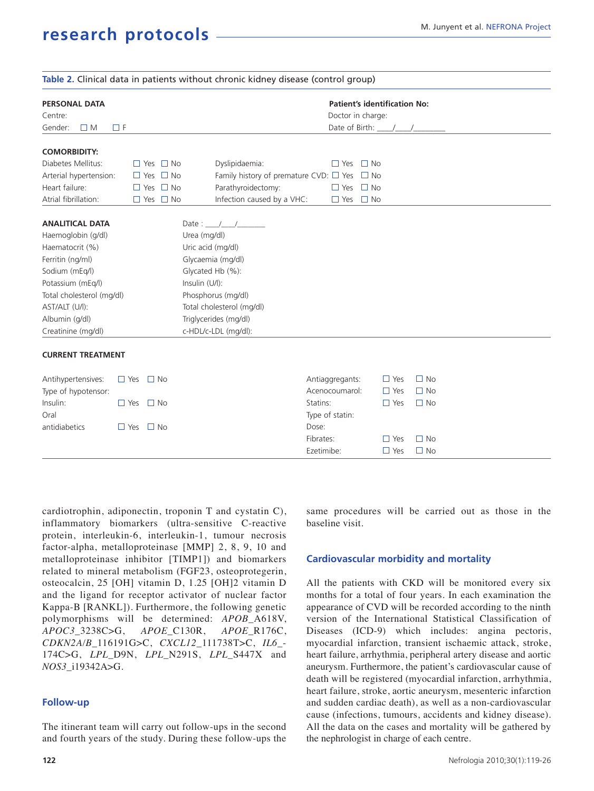|                                                                       |  |                         |                      | Table 2. Clinical data in patients without chronic kidney disease (control group) |                      |              |           |  |  |  |
|-----------------------------------------------------------------------|--|-------------------------|----------------------|-----------------------------------------------------------------------------------|----------------------|--------------|-----------|--|--|--|
| <b>PERSONAL DATA</b><br>Centre:<br>$\square$ M<br>$\Box F$<br>Gender: |  |                         |                      | <b>Patient's identification No:</b><br>Doctor in charge:<br>Date of Birth: \[     |                      |              |           |  |  |  |
| <b>COMORBIDITY:</b>                                                   |  |                         |                      |                                                                                   |                      |              |           |  |  |  |
| Diabetes Mellitus:                                                    |  | $\Box$ Yes $\Box$ No    |                      | Dyslipidaemia:                                                                    | $\Box$ Yes $\Box$ No |              |           |  |  |  |
| Arterial hypertension:                                                |  | $\Box$ No<br>$\Box$ Yes |                      | Family history of premature CVD: $\Box$ Yes                                       |                      | $\square$ No |           |  |  |  |
| Heart failure:                                                        |  | $\Box$ Yes $\Box$ No    |                      | Parathyroidectomy:                                                                | $\Box$ Yes           | $\Box$ No    |           |  |  |  |
| Atrial fibrillation:                                                  |  | $\Box$ Yes $\Box$ No    |                      | Infection caused by a VHC:                                                        | $\Box$ Yes           | $\Box$ No    |           |  |  |  |
|                                                                       |  |                         |                      |                                                                                   |                      |              |           |  |  |  |
| <b>ANALITICAL DATA</b>                                                |  |                         |                      | Date: $/$ /                                                                       |                      |              |           |  |  |  |
| Haemoglobin (g/dl)                                                    |  |                         | Urea (mg/dl)         |                                                                                   |                      |              |           |  |  |  |
| Haematocrit (%)                                                       |  |                         | Uric acid (mg/dl)    |                                                                                   |                      |              |           |  |  |  |
| Ferritin (ng/ml)                                                      |  |                         | Glycaemia (mg/dl)    |                                                                                   |                      |              |           |  |  |  |
| Sodium (mEq/l)                                                        |  |                         | Glycated Hb (%):     |                                                                                   |                      |              |           |  |  |  |
| Potassium (mEq/l)                                                     |  |                         | Insulin (U/l):       |                                                                                   |                      |              |           |  |  |  |
| Total cholesterol (mg/dl)                                             |  |                         | Phosphorus (mg/dl)   |                                                                                   |                      |              |           |  |  |  |
| AST/ALT (U/l):                                                        |  |                         |                      | Total cholesterol (mg/dl)                                                         |                      |              |           |  |  |  |
| Albumin (g/dl)                                                        |  |                         |                      | Triglycerides (mg/dl)                                                             |                      |              |           |  |  |  |
| Creatinine (mg/dl)                                                    |  |                         | c-HDL/c-LDL (mg/dl): |                                                                                   |                      |              |           |  |  |  |
| <b>CURRENT TREATMENT</b>                                              |  |                         |                      |                                                                                   |                      |              |           |  |  |  |
| Antihypertensives:                                                    |  | $\Box$ Yes $\Box$ No    |                      |                                                                                   | Antiaggregants:      | $\Box$ Yes   | $\Box$ No |  |  |  |
| Type of hypotensor:                                                   |  |                         |                      |                                                                                   | Acenocoumarol:       | $\Box$ Yes   | $\Box$ No |  |  |  |
| Insulin:                                                              |  | $\Box$ Yes $\Box$ No    |                      |                                                                                   | Statins:             | $\Box$ Yes   | $\Box$ No |  |  |  |
| Oral                                                                  |  |                         |                      |                                                                                   | Type of statin:      |              |           |  |  |  |
| antidiabetics                                                         |  | $\Box$ Yes $\Box$ No    |                      |                                                                                   | Dose:                |              |           |  |  |  |
|                                                                       |  |                         |                      |                                                                                   | Fibrates:            | $\Box$ Yes   | $\Box$ No |  |  |  |
|                                                                       |  |                         |                      |                                                                                   | Ezetimibe:           | $\Box$ Yes   | $\Box$ No |  |  |  |

cardiotrophin, adiponectin, troponin T and cystatin C), inflammatory biomarkers (ultra-sensitive C-reactive protein, interleukin-6, interleukin-1, tumour necrosis factor-alpha, metalloproteinase [MMP] 2, 8, 9, 10 and metalloproteinase inhibitor [TIMP1]) and biomarkers related to mineral metabolism (FGF23, osteoprotegerin, osteocalcin, 25 [OH] vitamin D, 1.25 [OH]2 vitamin D and the ligand for receptor activator of nuclear factor Kappa-B [RANKL]). Furthermore, the following genetic polymorphisms will be determined: *APOB*\_A618V, *APOC3*\_3238C>G, *APOE*\_C130R, *APOE*\_R176C, *CDKN2A/B*\_116191G>C, *CXCL12*\_111738T>C, *IL6*\_- 174C>G, *LPL*\_D9N, *LPL*\_N291S, *LPL*\_S447X and *NOS3*\_i19342A>G.

### **Follow-up**

**122**

The itinerant team will carry out follow-ups in the second and fourth years of the study. During these follow-ups the

same procedures will be carried out as those in the baseline visit.

### **Cardiovascular morbidity and mortality**

All the patients with CKD will be monitored every six months for a total of four years. In each examination the appearance of CVD will be recorded according to the ninth version of the International Statistical Classification of Diseases (ICD-9) which includes: angina pectoris, myocardial infarction, transient ischaemic attack, stroke, heart failure, arrhythmia, peripheral artery disease and aortic aneurysm. Furthermore, the patient's cardiovascular cause of death will be registered (myocardial infarction, arrhythmia, heart failure, stroke, aortic aneurysm, mesenteric infarction and sudden cardiac death), as well as a non-cardiovascular cause (infections, tumours, accidents and kidney disease). All the data on the cases and mortality will be gathered by the nephrologist in charge of each centre.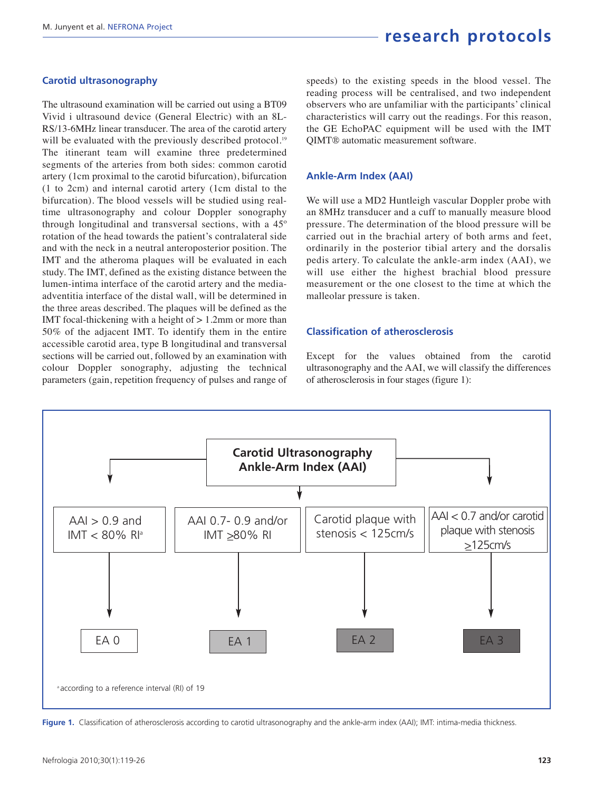#### **Carotid ultrasonography**

The ultrasound examination will be carried out using a BT09 Vivid i ultrasound device (General Electric) with an 8L-RS/13-6MHz linear transducer. The area of the carotid artery will be evaluated with the previously described protocol.<sup>19</sup> The itinerant team will examine three predetermined segments of the arteries from both sides: common carotid artery (1cm proximal to the carotid bifurcation), bifurcation (1 to 2cm) and internal carotid artery (1cm distal to the bifurcation). The blood vessels will be studied using realtime ultrasonography and colour Doppler sonography through longitudinal and transversal sections, with a 45º rotation of the head towards the patient's contralateral side and with the neck in a neutral anteroposterior position. The IMT and the atheroma plaques will be evaluated in each study. The IMT, defined as the existing distance between the lumen-intima interface of the carotid artery and the mediaadventitia interface of the distal wall, will be determined in the three areas described. The plaques will be defined as the IMT focal-thickening with a height of > 1.2mm or more than 50% of the adjacent IMT. To identify them in the entire accessible carotid area, type B longitudinal and transversal sections will be carried out, followed by an examination with colour Doppler sonography, adjusting the technical parameters (gain, repetition frequency of pulses and range of speeds) to the existing speeds in the blood vessel. The reading process will be centralised, and two independent observers who are unfamiliar with the participants' clinical characteristics will carry out the readings. For this reason, the GE EchoPAC equipment will be used with the IMT QIMT® automatic measurement software.

#### **Ankle-Arm Index (AAI)**

We will use a MD2 Huntleigh vascular Doppler probe with an 8MHz transducer and a cuff to manually measure blood pressure. The determination of the blood pressure will be carried out in the brachial artery of both arms and feet, ordinarily in the posterior tibial artery and the dorsalis pedis artery. To calculate the ankle-arm index (AAI), we will use either the highest brachial blood pressure measurement or the one closest to the time at which the malleolar pressure is taken.

#### **Classification of atherosclerosis**

Except for the values obtained from the carotid ultrasonography and the AAI, we will classify the differences of atherosclerosis in four stages (figure 1):



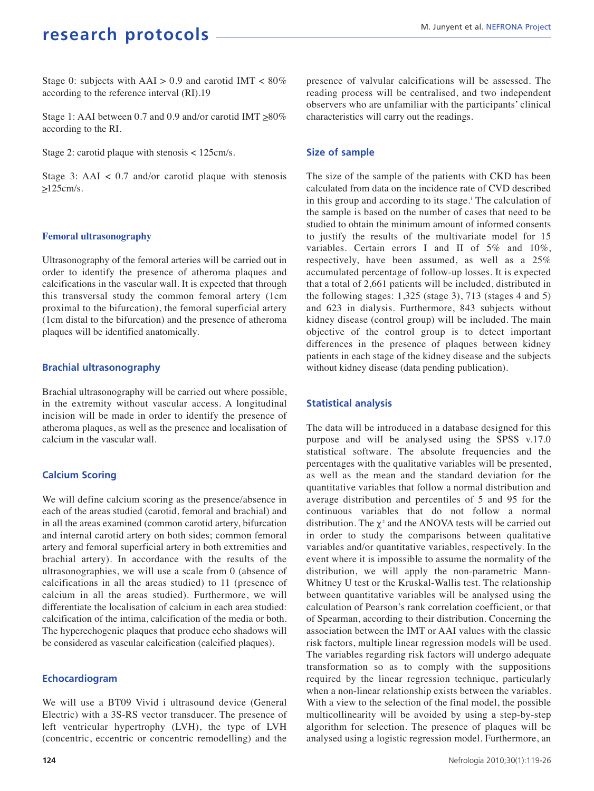Stage 0: subjects with  $AAI > 0.9$  and carotid IMT < 80% according to the reference interval (RI).19

Stage 1: AAI between 0.7 and 0.9 and/or carotid IMT  $\geq 80\%$ according to the RI.

Stage 2: carotid plaque with stenosis < 125cm/s.

Stage 3: AAI  $\lt$  0.7 and/or carotid plaque with stenosis  $>125cm/s$ .

#### **Femoral ultrasonography**

Ultrasonography of the femoral arteries will be carried out in order to identify the presence of atheroma plaques and calcifications in the vascular wall. It is expected that through this transversal study the common femoral artery (1cm proximal to the bifurcation), the femoral superficial artery (1cm distal to the bifurcation) and the presence of atheroma plaques will be identified anatomically.

#### **Brachial ultrasonography**

Brachial ultrasonography will be carried out where possible, in the extremity without vascular access. A longitudinal incision will be made in order to identify the presence of atheroma plaques, as well as the presence and localisation of calcium in the vascular wall.

### **Calcium Scoring**

We will define calcium scoring as the presence/absence in each of the areas studied (carotid, femoral and brachial) and in all the areas examined (common carotid artery, bifurcation and internal carotid artery on both sides; common femoral artery and femoral superficial artery in both extremities and brachial artery). In accordance with the results of the ultrasonographies, we will use a scale from 0 (absence of calcifications in all the areas studied) to 11 (presence of calcium in all the areas studied). Furthermore, we will differentiate the localisation of calcium in each area studied: calcification of the intima, calcification of the media or both. The hyperechogenic plaques that produce echo shadows will be considered as vascular calcification (calcified plaques).

### **Echocardiogram**

We will use a BT09 Vivid i ultrasound device (General Electric) with a 3S-RS vector transducer. The presence of left ventricular hypertrophy (LVH), the type of LVH (concentric, eccentric or concentric remodelling) and the presence of valvular calcifications will be assessed. The reading process will be centralised, and two independent observers who are unfamiliar with the participants' clinical characteristics will carry out the readings.

#### **Size of sample**

The size of the sample of the patients with CKD has been calculated from data on the incidence rate of CVD described in this group and according to its stage.<sup>1</sup> The calculation of the sample is based on the number of cases that need to be studied to obtain the minimum amount of informed consents to justify the results of the multivariate model for 15 variables. Certain errors I and II of 5% and 10%, respectively, have been assumed, as well as a 25% accumulated percentage of follow-up losses. It is expected that a total of 2,661 patients will be included, distributed in the following stages: 1,325 (stage 3), 713 (stages 4 and 5) and 623 in dialysis. Furthermore, 843 subjects without kidney disease (control group) will be included. The main objective of the control group is to detect important differences in the presence of plaques between kidney patients in each stage of the kidney disease and the subjects without kidney disease (data pending publication).

### **Statistical analysis**

The data will be introduced in a database designed for this purpose and will be analysed using the SPSS v.17.0 statistical software. The absolute frequencies and the percentages with the qualitative variables will be presented, as well as the mean and the standard deviation for the quantitative variables that follow a normal distribution and average distribution and percentiles of 5 and 95 for the continuous variables that do not follow a normal distribution. The  $\chi^2$  and the ANOVA tests will be carried out in order to study the comparisons between qualitative variables and/or quantitative variables, respectively. In the event where it is impossible to assume the normality of the distribution, we will apply the non-parametric Mann-Whitney U test or the Kruskal-Wallis test. The relationship between quantitative variables will be analysed using the calculation of Pearson's rank correlation coefficient, or that of Spearman, according to their distribution. Concerning the association between the IMT or AAI values with the classic risk factors, multiple linear regression models will be used. The variables regarding risk factors will undergo adequate transformation so as to comply with the suppositions required by the linear regression technique, particularly when a non-linear relationship exists between the variables. With a view to the selection of the final model, the possible multicollinearity will be avoided by using a step-by-step algorithm for selection. The presence of plaques will be analysed using a logistic regression model. Furthermore, an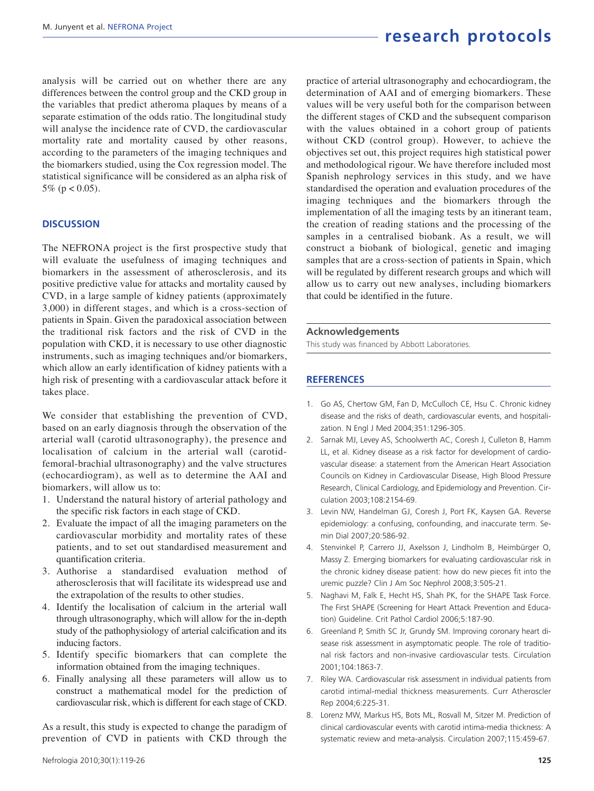analysis will be carried out on whether there are any differences between the control group and the CKD group in the variables that predict atheroma plaques by means of a separate estimation of the odds ratio. The longitudinal study will analyse the incidence rate of CVD, the cardiovascular mortality rate and mortality caused by other reasons, according to the parameters of the imaging techniques and the biomarkers studied, using the Cox regression model. The statistical significance will be considered as an alpha risk of 5% ( $p < 0.05$ ).

#### **DISCUSSION**

The NEFRONA project is the first prospective study that will evaluate the usefulness of imaging techniques and biomarkers in the assessment of atherosclerosis, and its positive predictive value for attacks and mortality caused by CVD, in a large sample of kidney patients (approximately 3,000) in different stages, and which is a cross-section of patients in Spain. Given the paradoxical association between the traditional risk factors and the risk of CVD in the population with CKD, it is necessary to use other diagnostic instruments, such as imaging techniques and/or biomarkers, which allow an early identification of kidney patients with a high risk of presenting with a cardiovascular attack before it takes place.

We consider that establishing the prevention of CVD, based on an early diagnosis through the observation of the arterial wall (carotid ultrasonography), the presence and localisation of calcium in the arterial wall (carotidfemoral-brachial ultrasonography) and the valve structures (echocardiogram), as well as to determine the AAI and biomarkers, will allow us to:

- 1. Understand the natural history of arterial pathology and the specific risk factors in each stage of CKD.
- 2. Evaluate the impact of all the imaging parameters on the cardiovascular morbidity and mortality rates of these patients, and to set out standardised measurement and quantification criteria.
- 3. Authorise a standardised evaluation method of atherosclerosis that will facilitate its widespread use and the extrapolation of the results to other studies.
- 4. Identify the localisation of calcium in the arterial wall through ultrasonography, which will allow for the in-depth study of the pathophysiology of arterial calcification and its inducing factors.
- 5. Identify specific biomarkers that can complete the information obtained from the imaging techniques.
- 6. Finally analysing all these parameters will allow us to construct a mathematical model for the prediction of cardiovascular risk, which is different for each stage of CKD.

As a result, this study is expected to change the paradigm of prevention of CVD in patients with CKD through the

practice of arterial ultrasonography and echocardiogram, the determination of AAI and of emerging biomarkers. These values will be very useful both for the comparison between the different stages of CKD and the subsequent comparison with the values obtained in a cohort group of patients without CKD (control group). However, to achieve the objectives set out, this project requires high statistical power and methodological rigour. We have therefore included most Spanish nephrology services in this study, and we have standardised the operation and evaluation procedures of the imaging techniques and the biomarkers through the implementation of all the imaging tests by an itinerant team, the creation of reading stations and the processing of the samples in a centralised biobank. As a result, we will construct a biobank of biological, genetic and imaging samples that are a cross-section of patients in Spain, which will be regulated by different research groups and which will allow us to carry out new analyses, including biomarkers that could be identified in the future.

#### **Acknowledgements**

This study was financed by Abbott Laboratories.

#### **REFERENCES**

- 1. Go AS, Chertow GM, Fan D, McCulloch CE, Hsu C. Chronic kidney disease and the risks of death, cardiovascular events, and hospitalization. N Engl J Med 2004;351:1296-305.
- 2. Sarnak MJ, Levey AS, Schoolwerth AC, Coresh J, Culleton B, Hamm LL, et al. Kidney disease as a risk factor for development of cardiovascular disease: a statement from the American Heart Association Councils on Kidney in Cardiovascular Disease, High Blood Pressure Research, Clinical Cardiology, and Epidemiology and Prevention. Circulation 2003;108:2154-69.
- 3. Levin NW, Handelman GJ, Coresh J, Port FK, Kaysen GA. Reverse epidemiology: a confusing, confounding, and inaccurate term. Semin Dial 2007;20:586-92.
- 4. Stenvinkel P, Carrero JJ, Axelsson J, Lindholm B, Heimbürger O, Massy Z. Emerging biomarkers for evaluating cardiovascular risk in the chronic kidney disease patient: how do new pieces fit into the uremic puzzle? Clin J Am Soc Nephrol 2008;3:505-21.
- 5. Naghavi M, Falk E, Hecht HS, Shah PK, for the SHAPE Task Force. The First SHAPE (Screening for Heart Attack Prevention and Education) Guideline. Crit Pathol Cardiol 2006;5:187-90.
- 6. Greenland P, Smith SC Jr, Grundy SM. Improving coronary heart disease risk assessment in asymptomatic people. The role of traditional risk factors and non-invasive cardiovascular tests. Circulation 2001;104:1863-7.
- 7. Riley WA. Cardiovascular risk assessment in individual patients from carotid intimal-medial thickness measurements. Curr Atheroscler Rep 2004;6:225-31.
- 8. Lorenz MW, Markus HS, Bots ML, Rosvall M, Sitzer M. Prediction of clinical cardiovascular events with carotid intima-media thickness: A systematic review and meta-analysis. Circulation 2007;115:459-67.